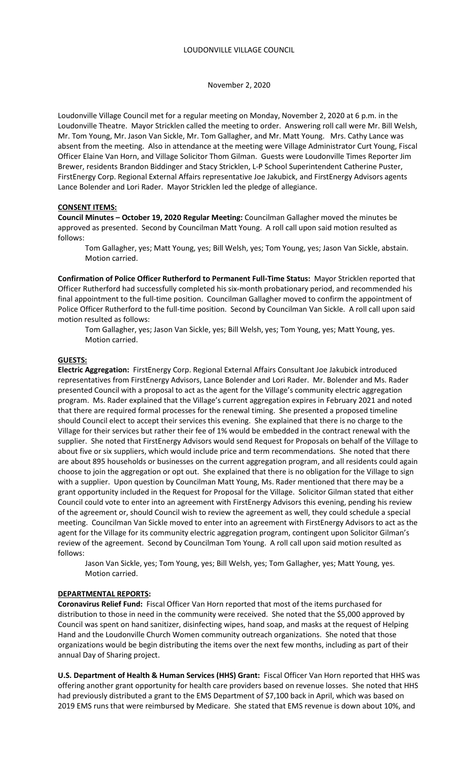#### November 2, 2020

Loudonville Village Council met for a regular meeting on Monday, November 2, 2020 at 6 p.m. in the Loudonville Theatre. Mayor Stricklen called the meeting to order. Answering roll call were Mr. Bill Welsh, Mr. Tom Young, Mr. Jason Van Sickle, Mr. Tom Gallagher, and Mr. Matt Young. Mrs. Cathy Lance was absent from the meeting. Also in attendance at the meeting were Village Administrator Curt Young, Fiscal Officer Elaine Van Horn, and Village Solicitor Thom Gilman. Guests were Loudonville Times Reporter Jim Brewer, residents Brandon Biddinger and Stacy Stricklen, L-P School Superintendent Catherine Puster, FirstEnergy Corp. Regional External Affairs representative Joe Jakubick, and FirstEnergy Advisors agents Lance Bolender and Lori Rader. Mayor Stricklen led the pledge of allegiance.

### **CONSENT ITEMS:**

**Council Minutes – October 19, 2020 Regular Meeting:** Councilman Gallagher moved the minutes be approved as presented. Second by Councilman Matt Young. A roll call upon said motion resulted as follows:

 Tom Gallagher, yes; Matt Young, yes; Bill Welsh, yes; Tom Young, yes; Jason Van Sickle, abstain. Motion carried.

**Confirmation of Police Officer Rutherford to Permanent Full-Time Status:** Mayor Stricklen reported that Officer Rutherford had successfully completed his six-month probationary period, and recommended his final appointment to the full-time position. Councilman Gallagher moved to confirm the appointment of Police Officer Rutherford to the full-time position. Second by Councilman Van Sickle. A roll call upon said motion resulted as follows:

Tom Gallagher, yes; Jason Van Sickle, yes; Bill Welsh, yes; Tom Young, yes; Matt Young, yes. Motion carried.

#### **GUESTS:**

**Electric Aggregation:** FirstEnergy Corp. Regional External Affairs Consultant Joe Jakubick introduced representatives from FirstEnergy Advisors, Lance Bolender and Lori Rader. Mr. Bolender and Ms. Rader presented Council with a proposal to act as the agent for the Village's community electric aggregation program. Ms. Rader explained that the Village's current aggregation expires in February 2021 and noted that there are required formal processes for the renewal timing. She presented a proposed timeline should Council elect to accept their services this evening. She explained that there is no charge to the Village for their services but rather their fee of 1% would be embedded in the contract renewal with the supplier. She noted that FirstEnergy Advisors would send Request for Proposals on behalf of the Village to about five or six suppliers, which would include price and term recommendations. She noted that there are about 895 households or businesses on the current aggregation program, and all residents could again choose to join the aggregation or opt out. She explained that there is no obligation for the Village to sign with a supplier. Upon question by Councilman Matt Young, Ms. Rader mentioned that there may be a grant opportunity included in the Request for Proposal for the Village. Solicitor Gilman stated that either Council could vote to enter into an agreement with FirstEnergy Advisors this evening, pending his review of the agreement or, should Council wish to review the agreement as well, they could schedule a special meeting. Councilman Van Sickle moved to enter into an agreement with FirstEnergy Advisors to act as the agent for the Village for its community electric aggregation program, contingent upon Solicitor Gilman's review of the agreement. Second by Councilman Tom Young. A roll call upon said motion resulted as follows:

Jason Van Sickle, yes; Tom Young, yes; Bill Welsh, yes; Tom Gallagher, yes; Matt Young, yes. Motion carried.

### **DEPARTMENTAL REPORTS:**

**Coronavirus Relief Fund:** Fiscal Officer Van Horn reported that most of the items purchased for distribution to those in need in the community were received. She noted that the \$5,000 approved by Council was spent on hand sanitizer, disinfecting wipes, hand soap, and masks at the request of Helping Hand and the Loudonville Church Women community outreach organizations. She noted that those organizations would be begin distributing the items over the next few months, including as part of their annual Day of Sharing project.

**U.S. Department of Health & Human Services (HHS) Grant:** Fiscal Officer Van Horn reported that HHS was offering another grant opportunity for health care providers based on revenue losses. She noted that HHS had previously distributed a grant to the EMS Department of \$7,100 back in April, which was based on 2019 EMS runs that were reimbursed by Medicare. She stated that EMS revenue is down about 10%, and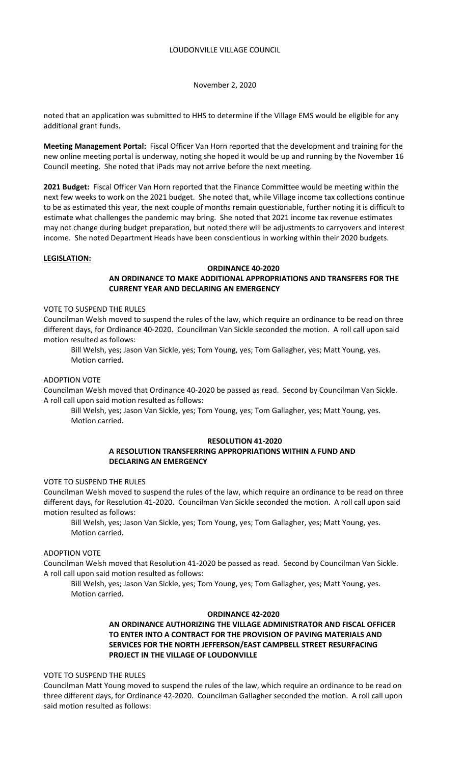November 2, 2020

noted that an application was submitted to HHS to determine if the Village EMS would be eligible for any additional grant funds.

**Meeting Management Portal:** Fiscal Officer Van Horn reported that the development and training for the new online meeting portal is underway, noting she hoped it would be up and running by the November 16 Council meeting. She noted that iPads may not arrive before the next meeting.

**2021 Budget:** Fiscal Officer Van Horn reported that the Finance Committee would be meeting within the next few weeks to work on the 2021 budget. She noted that, while Village income tax collections continue to be as estimated this year, the next couple of months remain questionable, further noting it is difficult to estimate what challenges the pandemic may bring. She noted that 2021 income tax revenue estimates may not change during budget preparation, but noted there will be adjustments to carryovers and interest income. She noted Department Heads have been conscientious in working within their 2020 budgets.

### **LEGISLATION:**

### **ORDINANCE 40-2020**

# **AN ORDINANCE TO MAKE ADDITIONAL APPROPRIATIONS AND TRANSFERS FOR THE CURRENT YEAR AND DECLARING AN EMERGENCY**

VOTE TO SUSPEND THE RULES

Councilman Welsh moved to suspend the rules of the law, which require an ordinance to be read on three different days, for Ordinance 40-2020. Councilman Van Sickle seconded the motion. A roll call upon said motion resulted as follows:

Bill Welsh, yes; Jason Van Sickle, yes; Tom Young, yes; Tom Gallagher, yes; Matt Young, yes. Motion carried.

ADOPTION VOTE

Councilman Welsh moved that Ordinance 40-2020 be passed as read. Second by Councilman Van Sickle. A roll call upon said motion resulted as follows:

Bill Welsh, yes; Jason Van Sickle, yes; Tom Young, yes; Tom Gallagher, yes; Matt Young, yes. Motion carried.

### **RESOLUTION 41-2020**

## **A RESOLUTION TRANSFERRING APPROPRIATIONS WITHIN A FUND AND DECLARING AN EMERGENCY**

VOTE TO SUSPEND THE RULES

Councilman Welsh moved to suspend the rules of the law, which require an ordinance to be read on three different days, for Resolution 41-2020. Councilman Van Sickle seconded the motion. A roll call upon said motion resulted as follows:

Bill Welsh, yes; Jason Van Sickle, yes; Tom Young, yes; Tom Gallagher, yes; Matt Young, yes. Motion carried.

## ADOPTION VOTE

Councilman Welsh moved that Resolution 41-2020 be passed as read. Second by Councilman Van Sickle. A roll call upon said motion resulted as follows:

Bill Welsh, yes; Jason Van Sickle, yes; Tom Young, yes; Tom Gallagher, yes; Matt Young, yes. Motion carried.

#### **ORDINANCE 42-2020**

# **AN ORDINANCE AUTHORIZING THE VILLAGE ADMINISTRATOR AND FISCAL OFFICER TO ENTER INTO A CONTRACT FOR THE PROVISION OF PAVING MATERIALS AND SERVICES FOR THE NORTH JEFFERSON/EAST CAMPBELL STREET RESURFACING PROJECT IN THE VILLAGE OF LOUDONVILLE**

## VOTE TO SUSPEND THE RULES

Councilman Matt Young moved to suspend the rules of the law, which require an ordinance to be read on three different days, for Ordinance 42-2020. Councilman Gallagher seconded the motion. A roll call upon said motion resulted as follows: